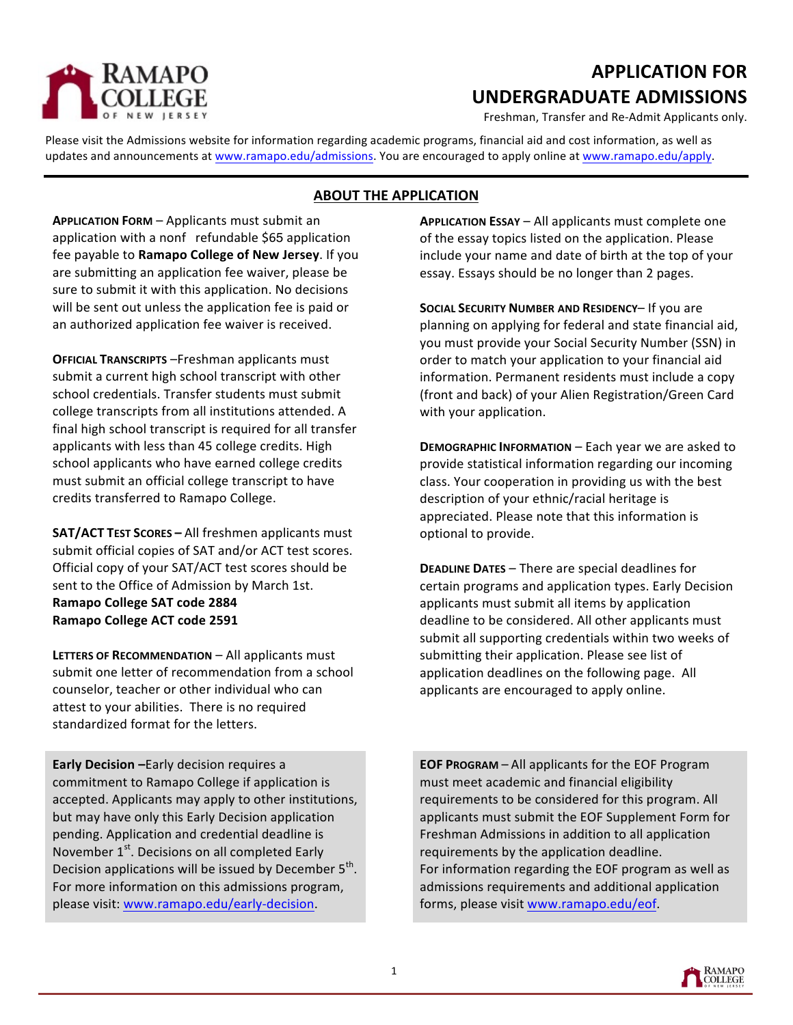

# **APPLICATION FOR UNDERGRADUATE ADMISSIONS**

Freshman, Transfer and Re-Admit Applicants only.

Please visit the Admissions website for information regarding academic programs, financial aid and cost information, as well as updates and announcements at www.ramapo.edu/admissions. You are encouraged to apply online at www.ramapo.edu/apply.

# **ABOUT THE APPLICATION**

**APPLICATION FORM** – Applicants must submit an application with a nonf refundable \$65 application fee payable to Ramapo College of New Jersey. If you are submitting an application fee waiver, please be sure to submit it with this application. No decisions will be sent out unless the application fee is paid or an authorized application fee waiver is received.

**OFFICIAL TRANSCRIPTS** -Freshman applicants must submit a current high school transcript with other school credentials. Transfer students must submit college transcripts from all institutions attended. A final high school transcript is required for all transfer applicants with less than 45 college credits. High school applicants who have earned college credits must submit an official college transcript to have credits transferred to Ramapo College.

**SAT/ACT TEST SCORES** - All freshmen applicants must submit official copies of SAT and/or ACT test scores. Official copy of your SAT/ACT test scores should be sent to the Office of Admission by March 1st. **Ramapo College SAT code 2884 Ramapo College ACT code 2591** 

**LETTERS OF RECOMMENDATION** – All applicants must submit one letter of recommendation from a school counselor, teacher or other individual who can attest to your abilities. There is no required standardized format for the letters.

**Early Decision** -Early decision requires a commitment to Ramapo College if application is accepted. Applicants may apply to other institutions, but may have only this Early Decision application pending. Application and credential deadline is November  $1<sup>st</sup>$ . Decisions on all completed Early Decision applications will be issued by December  $5<sup>th</sup>$ . For more information on this admissions program, please visit: www.ramapo.edu/early-decision.

**APPLICATION ESSAY** – All applicants must complete one of the essay topics listed on the application. Please include your name and date of birth at the top of your essay. Essays should be no longer than 2 pages.

**SOCIAL SECURITY NUMBER AND RESIDENCY- If you are** planning on applying for federal and state financial aid, you must provide your Social Security Number (SSN) in order to match your application to your financial aid information. Permanent residents must include a copy (front and back) of your Alien Registration/Green Card with your application.

**DEMOGRAPHIC INFORMATION** – Each year we are asked to provide statistical information regarding our incoming class. Your cooperation in providing us with the best description of your ethnic/racial heritage is appreciated. Please note that this information is optional to provide.

**DEADLINE DATES** – There are special deadlines for certain programs and application types. Early Decision applicants must submit all items by application deadline to be considered. All other applicants must submit all supporting credentials within two weeks of submitting their application. Please see list of application deadlines on the following page. All applicants are encouraged to apply online.

**EOF PROGRAM** – All applicants for the EOF Program must meet academic and financial eligibility requirements to be considered for this program. All applicants must submit the EOF Supplement Form for Freshman Admissions in addition to all application requirements by the application deadline. For information regarding the EOF program as well as admissions requirements and additional application forms, please visit www.ramapo.edu/eof.

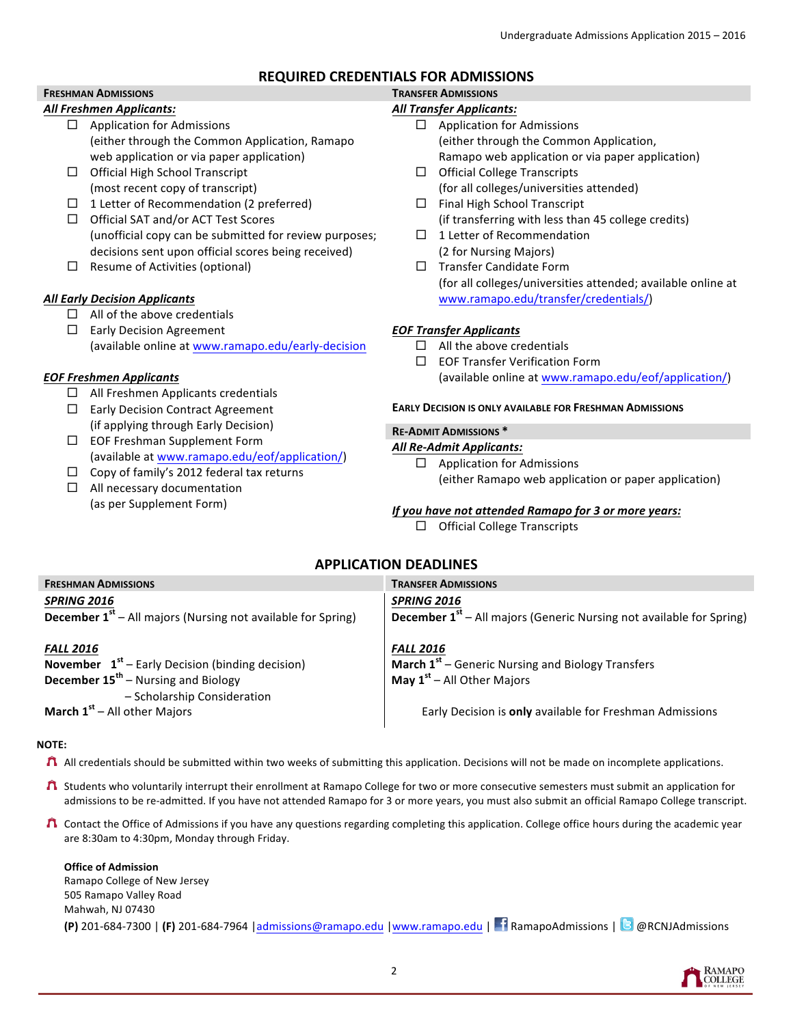## **REQUIRED CREDENTIALS FOR ADMISSIONS**

#### **FRESHMAN ADMISSIONS TRANSFER ADMISSIONS** *All Freshmen Applicants:*

- $\Box$  Application for Admissions (either through the Common Application, Ramapo web application or via paper application)
- $\Box$  Official High School Transcript (most recent copy of transcript)
- $\Box$  1 Letter of Recommendation (2 preferred)
- $\Box$  Official SAT and/or ACT Test Scores (unofficial copy can be submitted for review purposes; decisions sent upon official scores being received)
- $\Box$  Resume of Activities (optional)

## *All Early Decision Applicants*

 $\Box$  All of the above credentials

 $\Box$  Early Decision Agreement (available online at www.ramapo.edu/early-decision

## *EOF Freshmen Applicants*

- $\Box$  All Freshmen Applicants credentials
- $\Box$  Early Decision Contract Agreement (if applying through Early Decision)
- $\square$  EOF Freshman Supplement Form (available at www.ramapo.edu/eof/application/)
- $\Box$  Copy of family's 2012 federal tax returns
- $\Box$  All necessary documentation (as per Supplement Form)

# *All Transfer Applicants:*

- $\Box$  Application for Admissions (either through the Common Application, Ramapo web application or via paper application)
- $\Box$  Official College Transcripts (for all colleges/universities attended)
- $\Box$  Final High School Transcript (if transferring with less than 45 college credits)
- $\Box$  1 Letter of Recommendation (2 for Nursing Majors)
- $\square$  Transfer Candidate Form (for all colleges/universities attended; available online at www.ramapo.edu/transfer/credentials/)

## *EOF Transfer Applicants*

- $\Box$  All the above credentials
- $\Box$  EOF Transfer Verification Form (available online at www.ramapo.edu/eof/application/)

### **EARLY DECISION IS ONLY AVAILABLE FOR FRESHMAN ADMISSIONS**

## **RE-ADMIT ADMISSIONS \***

### *All Re-Admit Applicants:*

 $\square$  Application for Admissions (either Ramapo web application or paper application)

## *If* you have not attended Ramapo for 3 or more years:

 $\Box$  Official College Transcripts

## **APPLICATION DEADLINES**

| <b>FRESHMAN ADMISSIONS</b>                                                                                                                                            | <b>TRANSFER ADMISSIONS</b>                                                                                                |
|-----------------------------------------------------------------------------------------------------------------------------------------------------------------------|---------------------------------------------------------------------------------------------------------------------------|
| <b>SPRING 2016</b><br><b>December <math>1st</math></b> – All majors (Nursing not available for Spring)                                                                | <b>SPRING 2016</b><br><b>December 1<sup>st</sup></b> – All majors (Generic Nursing not available for Spring)              |
| <b>FALL 2016</b><br><b>November</b> $1st$ – Early Decision (binding decision)<br><b>December 15<sup>th</sup></b> – Nursing and Biology<br>- Scholarship Consideration | <b>FALL 2016</b><br><b>March <math>1st</math></b> – Generic Nursing and Biology Transfers<br>May $1st$ – All Other Majors |
| <b>March <math>1st</math> – All other Majors</b>                                                                                                                      | Early Decision is only available for Freshman Admissions                                                                  |

### **NOTE:**

- $\Lambda$  All credentials should be submitted within two weeks of submitting this application. Decisions will not be made on incomplete applications.
- ↑ Students who voluntarily interrupt their enrollment at Ramapo College for two or more consecutive semesters must submit an application for admissions to be re-admitted. If you have not attended Ramapo for 3 or more years, you must also submit an official Ramapo College transcript.
- ↑ Contact the Office of Admissions if you have any questions regarding completing this application. College office hours during the academic year are 8:30am to 4:30pm, Monday through Friday.

## **Office of Admission** Ramapo College of New Jersey 505 Ramapo Valley Road Mahwah, NJ 07430 **(P)** 201-684-7300 | **(F)** 201-684-7964 | admissions@ramapo.edu | www.ramapo.edu | **RamapoAdmissions** | **@** @RCNJAdmissions

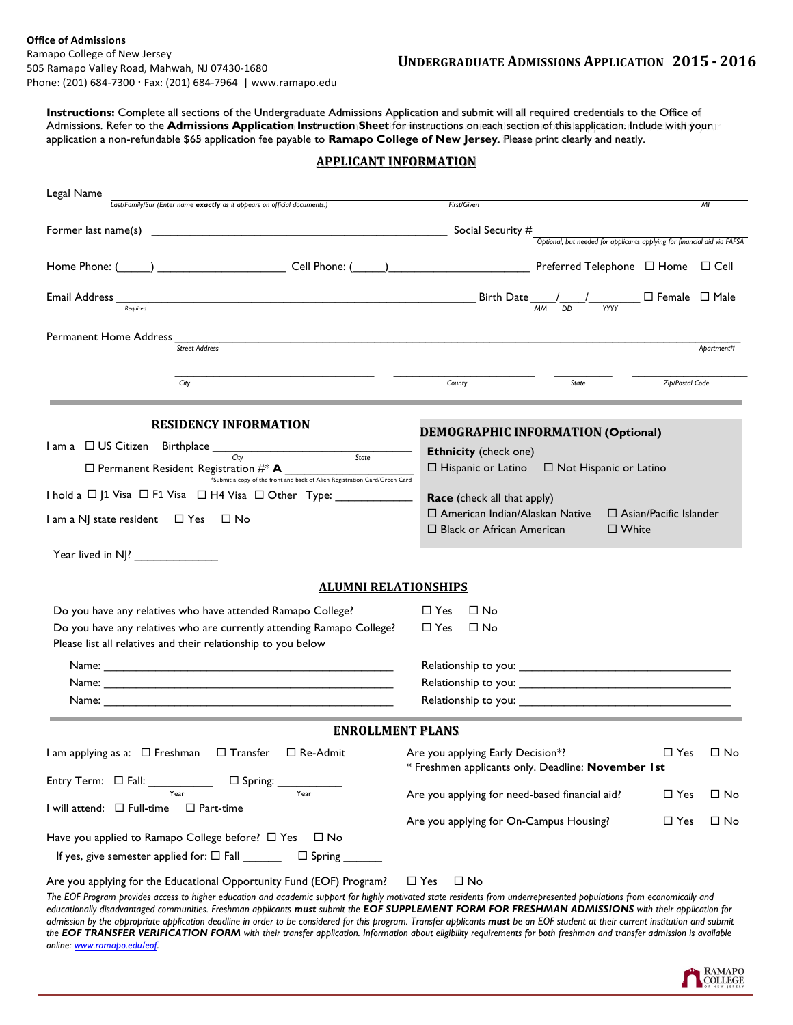**Instructions:** Complete all sections of the Undergraduate Admissions Application and submit will all required credentials to the Office of Admissions. Refer to the **Admissions Application Instruction Sheet** for instructions on each section of this application. Include with your application a non-refundable \$65 application fee payable to **Ramapo College of New Jersey**. Please print clearly and neatly.

| <u>APPLICANT INFURMATION</u>                                                                                                                                                                                                                                                                                                                                                                                                                                                         |                                                                                                                       |                               |                 |                |  |  |
|--------------------------------------------------------------------------------------------------------------------------------------------------------------------------------------------------------------------------------------------------------------------------------------------------------------------------------------------------------------------------------------------------------------------------------------------------------------------------------------|-----------------------------------------------------------------------------------------------------------------------|-------------------------------|-----------------|----------------|--|--|
|                                                                                                                                                                                                                                                                                                                                                                                                                                                                                      |                                                                                                                       |                               |                 |                |  |  |
| Legal Name<br>Last/Family/Sur (Enter name exactly as it appears on official documents.)                                                                                                                                                                                                                                                                                                                                                                                              | First/Given                                                                                                           |                               |                 | M <sub>l</sub> |  |  |
|                                                                                                                                                                                                                                                                                                                                                                                                                                                                                      |                                                                                                                       |                               |                 |                |  |  |
|                                                                                                                                                                                                                                                                                                                                                                                                                                                                                      |                                                                                                                       |                               |                 |                |  |  |
| Home Phone: (Comparently Cell Phone: (Comparently Cell Phone: (Comparently Cell Phone Displayer Preferred Telephone Displayer Displayer Cell                                                                                                                                                                                                                                                                                                                                         |                                                                                                                       |                               |                 |                |  |  |
| Email Address Mequired<br>$\begin{array}{c c c c} \text{Birth Date} & \text{\_} & \text{\_} & \text{\_} & \text{\_} & \text{\_} & \text{\_} & \text{\_} & \text{\_} & \text{\_} & \text{\_} & \text{\_} & \text{\_} & \text{\_} & \text{\_} & \text{\_} & \text{\_} & \text{\_} & \text{\_} & \text{\_} & \text{\_} & \text{\_} & \text{\_} & \text{\_} & \text{\_} & \text{\_} & \text{\_} & \text{\_} & \text{\_} & \text{\_} & \text{\_} & \text{\_} & \text{\_} & \text{\_} & \$ |                                                                                                                       |                               |                 |                |  |  |
|                                                                                                                                                                                                                                                                                                                                                                                                                                                                                      |                                                                                                                       |                               |                 |                |  |  |
| Permanent Home Address $\frac{1}{\text{Street Address}}$                                                                                                                                                                                                                                                                                                                                                                                                                             |                                                                                                                       |                               |                 |                |  |  |
|                                                                                                                                                                                                                                                                                                                                                                                                                                                                                      |                                                                                                                       |                               |                 | Apartment#     |  |  |
| City                                                                                                                                                                                                                                                                                                                                                                                                                                                                                 | County                                                                                                                | State                         | Zip/Postal Code |                |  |  |
|                                                                                                                                                                                                                                                                                                                                                                                                                                                                                      |                                                                                                                       |                               |                 |                |  |  |
| <b>RESIDENCY INFORMATION</b>                                                                                                                                                                                                                                                                                                                                                                                                                                                         |                                                                                                                       |                               |                 |                |  |  |
|                                                                                                                                                                                                                                                                                                                                                                                                                                                                                      | <b>DEMOGRAPHIC INFORMATION (Optional)</b>                                                                             |                               |                 |                |  |  |
| $I$ am a $\Box$ US Citizen Birthplace $\frac{C_{ity}}{C_{ity}}$ state state                                                                                                                                                                                                                                                                                                                                                                                                          | <b>Ethnicity</b> (check one)                                                                                          |                               |                 |                |  |  |
| $\Box$ Permanent Resident Registration $\#^*$ A<br>*Submit a copy of the front and back of Alien Registration Card/Green Card                                                                                                                                                                                                                                                                                                                                                        | $\Box$ Hispanic or Latino                                                                                             | $\Box$ Not Hispanic or Latino |                 |                |  |  |
| I hold a □ J1 Visa □ F1 Visa □ H4 Visa □ Other Type: ___________________________                                                                                                                                                                                                                                                                                                                                                                                                     | Race (check all that apply)                                                                                           |                               |                 |                |  |  |
| I am a NJ state resident □ Yes □ No                                                                                                                                                                                                                                                                                                                                                                                                                                                  | $\Box$ American Indian/Alaskan Native<br>$\Box$ Asian/Pacific Islander                                                |                               |                 |                |  |  |
|                                                                                                                                                                                                                                                                                                                                                                                                                                                                                      | □ Black or African American<br>$\square$ White                                                                        |                               |                 |                |  |  |
| Year lived in NJ?                                                                                                                                                                                                                                                                                                                                                                                                                                                                    |                                                                                                                       |                               |                 |                |  |  |
|                                                                                                                                                                                                                                                                                                                                                                                                                                                                                      |                                                                                                                       |                               |                 |                |  |  |
| <b>ALUMNI RELATIONSHIPS</b>                                                                                                                                                                                                                                                                                                                                                                                                                                                          |                                                                                                                       |                               |                 |                |  |  |
| Do you have any relatives who have attended Ramapo College?                                                                                                                                                                                                                                                                                                                                                                                                                          | $\Box$ No<br>$\Box$ Yes                                                                                               |                               |                 |                |  |  |
| Do you have any relatives who are currently attending Ramapo College?                                                                                                                                                                                                                                                                                                                                                                                                                | $\Box$ Yes<br>$\square$ No                                                                                            |                               |                 |                |  |  |
| Please list all relatives and their relationship to you below                                                                                                                                                                                                                                                                                                                                                                                                                        |                                                                                                                       |                               |                 |                |  |  |
|                                                                                                                                                                                                                                                                                                                                                                                                                                                                                      |                                                                                                                       |                               |                 |                |  |  |
|                                                                                                                                                                                                                                                                                                                                                                                                                                                                                      |                                                                                                                       |                               |                 |                |  |  |
|                                                                                                                                                                                                                                                                                                                                                                                                                                                                                      |                                                                                                                       |                               |                 |                |  |  |
|                                                                                                                                                                                                                                                                                                                                                                                                                                                                                      |                                                                                                                       |                               |                 |                |  |  |
| <b>ENROLLMENT PLANS</b>                                                                                                                                                                                                                                                                                                                                                                                                                                                              |                                                                                                                       |                               |                 |                |  |  |
| $l$ am applying as a: $\Box$ Freshman<br>$\Box$ Transfer<br>□ Re-Admit                                                                                                                                                                                                                                                                                                                                                                                                               | Are you applying Early Decision*?<br>$\Box$ Yes<br>$\square$ No<br>* Freshmen applicants only. Deadline: November 1st |                               |                 |                |  |  |
| $\square$ Spring:                                                                                                                                                                                                                                                                                                                                                                                                                                                                    |                                                                                                                       |                               |                 |                |  |  |
| Year<br>Year<br>I will attend: $\square$ Full-time<br>$\Box$ Part-time                                                                                                                                                                                                                                                                                                                                                                                                               | Are you applying for need-based financial aid?                                                                        |                               | $\Box$ Yes      | $\square$ No   |  |  |
|                                                                                                                                                                                                                                                                                                                                                                                                                                                                                      | Are you applying for On-Campus Housing?                                                                               |                               | $\Box$ Yes      | $\Box$ No      |  |  |
| Have you applied to Ramapo College before? $\Box$ Yes<br>$\Box$ No                                                                                                                                                                                                                                                                                                                                                                                                                   |                                                                                                                       |                               |                 |                |  |  |
| If yes, give semester applied for: $\Box$ Fall _______                                                                                                                                                                                                                                                                                                                                                                                                                               |                                                                                                                       |                               |                 |                |  |  |
| Are you applying for the Educational Opportunity Fund (EOF) Program?                                                                                                                                                                                                                                                                                                                                                                                                                 | $\Box$ No                                                                                                             |                               |                 |                |  |  |
| The EOF Program provides access to higher education and academic support for highly motivated state residents from underrepresented populations from economically and                                                                                                                                                                                                                                                                                                                | $\Box$ Yes                                                                                                            |                               |                 |                |  |  |
| educationally disadvantaged communities. Freshman applicants must submit the EOF SUPPLEMENT FORM FOR FRESHMAN ADMISSIONS with their application for                                                                                                                                                                                                                                                                                                                                  |                                                                                                                       |                               |                 |                |  |  |
| admission by the appropriate application deadline in order to be considered for this program. Transfer applicants must be an EOF student at their current institution and submit<br>the EOF TRANSFER VERIFICATION FORM with their transfer application. Information about eligibility requirements for both freshman and transfer admission is available                                                                                                                             |                                                                                                                       |                               |                 |                |  |  |
| online: www.ramapo.edu/eof.                                                                                                                                                                                                                                                                                                                                                                                                                                                          |                                                                                                                       |                               |                 |                |  |  |

## **APPLICANT INFORMATION**

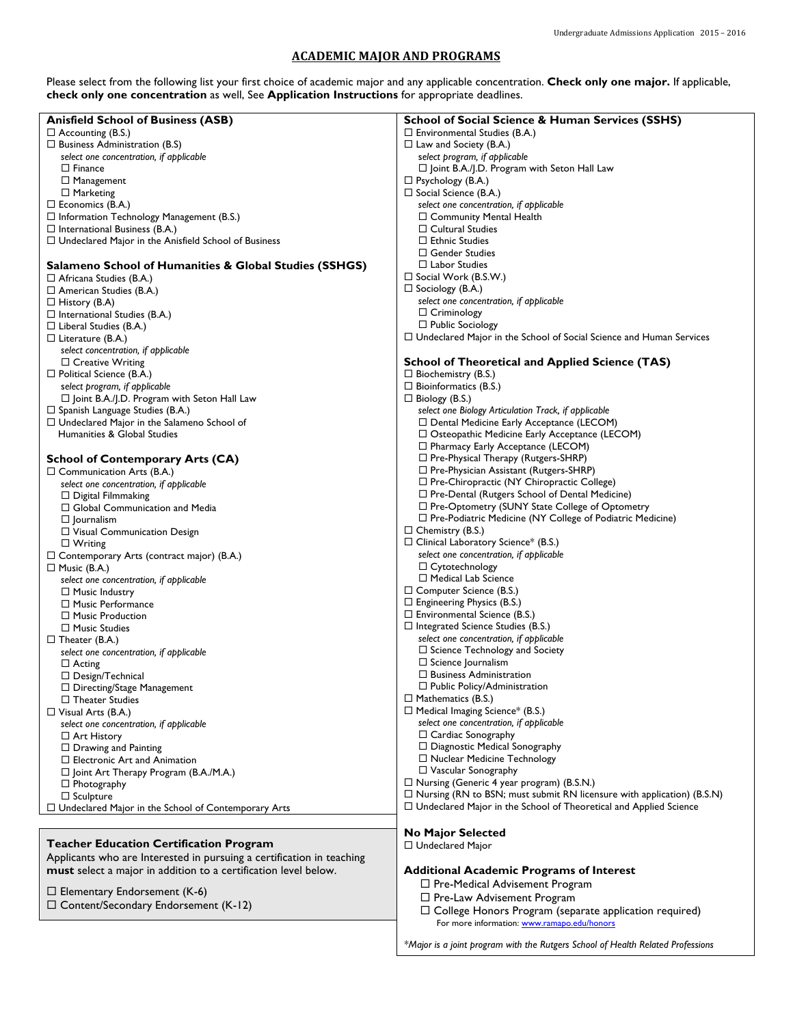### **ACADEMIC MAJOR AND PROGRAMS**

Please select from the following list your first choice of academic major and any applicable concentration. **Check only one major.** If applicable, **check only one concentration** as well, See **Application Instructions** for appropriate deadlines.

| <b>Anisfield School of Business (ASB)</b>                             | <b>School of Social Science &amp; Human Services (SSHS)</b>                   |
|-----------------------------------------------------------------------|-------------------------------------------------------------------------------|
| $\Box$ Accounting (B.S.)                                              | $\Box$ Environmental Studies (B.A.)                                           |
| $\Box$ Business Administration (B.S)                                  | $\Box$ Law and Society (B.A.)                                                 |
|                                                                       |                                                                               |
| select one concentration, if applicable                               | select program, if applicable                                                 |
| $\square$ Finance                                                     | $\Box$ Joint B.A./J.D. Program with Seton Hall Law                            |
| $\Box$ Management                                                     | $\Box$ Psychology (B.A.)                                                      |
| $\Box$ Marketing                                                      | $\Box$ Social Science (B.A.)                                                  |
| $\Box$ Economics (B.A.)                                               | select one concentration, if applicable                                       |
| $\Box$ Information Technology Management (B.S.)                       | $\Box$ Community Mental Health                                                |
|                                                                       |                                                                               |
| $\Box$ International Business (B.A.)                                  | $\Box$ Cultural Studies                                                       |
| $\Box$ Undeclared Major in the Anisfield School of Business           | $\Box$ Ethnic Studies                                                         |
|                                                                       | $\Box$ Gender Studies                                                         |
| Salameno School of Humanities & Global Studies (SSHGS)                | $\Box$ Labor Studies                                                          |
|                                                                       | $\Box$ Social Work (B.S.W.)                                                   |
| $\Box$ Africana Studies (B.A.)                                        |                                                                               |
| $\Box$ American Studies (B.A.)                                        | $\Box$ Sociology (B.A.)                                                       |
| $\Box$ History (B.A)                                                  | select one concentration, if applicable                                       |
| $\Box$ International Studies (B.A.)                                   | $\Box$ Criminology                                                            |
| $\Box$ Liberal Studies (B.A.)                                         | $\Box$ Public Sociology                                                       |
|                                                                       | $\Box$ Undeclared Major in the School of Social Science and Human Services    |
| $\Box$ Literature (B.A.)                                              |                                                                               |
| select concentration, if applicable                                   |                                                                               |
| $\Box$ Creative Writing                                               | <b>School of Theoretical and Applied Science (TAS)</b>                        |
| $\Box$ Political Science (B.A.)                                       | $\square$ Biochemistry (B.S.)                                                 |
| select program, if applicable                                         | $\Box$ Bioinformatics (B.S.)                                                  |
|                                                                       | $\Box$ Biology (B.S.)                                                         |
| $\Box$ Joint B.A./J.D. Program with Seton Hall Law                    |                                                                               |
| $\Box$ Spanish Language Studies (B.A.)                                | select one Biology Articulation Track, if applicable                          |
| $\Box$ Undeclared Major in the Salameno School of                     | □ Dental Medicine Early Acceptance (LECOM)                                    |
| Humanities & Global Studies                                           | □ Osteopathic Medicine Early Acceptance (LECOM)                               |
|                                                                       | $\Box$ Pharmacy Early Acceptance (LECOM)                                      |
|                                                                       | □ Pre-Physical Therapy (Rutgers-SHRP)                                         |
| <b>School of Contemporary Arts (CA)</b>                               |                                                                               |
| $\Box$ Communication Arts (B.A.)                                      | □ Pre-Physician Assistant (Rutgers-SHRP)                                      |
| select one concentration, if applicable                               | $\Box$ Pre-Chiropractic (NY Chiropractic College)                             |
| $\Box$ Digital Filmmaking                                             | $\Box$ Pre-Dental (Rutgers School of Dental Medicine)                         |
| $\Box$ Global Communication and Media                                 | □ Pre-Optometry (SUNY State College of Optometry                              |
|                                                                       | $\Box$ Pre-Podiatric Medicine (NY College of Podiatric Medicine)              |
| $\Box$ Journalism                                                     |                                                                               |
| $\Box$ Visual Communication Design                                    | $\Box$ Chemistry (B.S.)                                                       |
| $\Box$ Writing                                                        | $\Box$ Clinical Laboratory Science* (B.S.)                                    |
| $\Box$ Contemporary Arts (contract major) (B.A.)                      | select one concentration, if applicable                                       |
| $\Box$ Music (B.A.)                                                   | $\Box$ Cytotechnology                                                         |
|                                                                       | $\Box$ Medical Lab Science                                                    |
| select one concentration, if applicable                               |                                                                               |
| $\Box$ Music Industry                                                 | $\Box$ Computer Science (B.S.)                                                |
| $\Box$ Music Performance                                              | $\Box$ Engineering Physics (B.S.)                                             |
| $\Box$ Music Production                                               | $\Box$ Environmental Science (B.S.)                                           |
| $\Box$ Music Studies                                                  | $\Box$ Integrated Science Studies (B.S.)                                      |
|                                                                       | select one concentration, if applicable                                       |
| $\Box$ Theater (B.A.)                                                 |                                                                               |
| select one concentration, if applicable                               | $\Box$ Science Technology and Society                                         |
| $\Box$ Acting                                                         | $\Box$ Science Journalism                                                     |
| $\Box$ Design/Technical                                               | $\Box$ Business Administration                                                |
| $\Box$ Directing/Stage Management                                     | $\Box$ Public Policy/Administration                                           |
| $\Box$ Theater Studies                                                | $\Box$ Mathematics (B.S.)                                                     |
|                                                                       |                                                                               |
| $\Box$ Visual Arts (B.A.)                                             | $\Box$ Medical Imaging Science* (B.S.)                                        |
| select one concentration, if applicable                               | select one concentration, if applicable                                       |
| $\Box$ Art History                                                    | $\Box$ Cardiac Sonography                                                     |
| $\Box$ Drawing and Painting                                           | $\Box$ Diagnostic Medical Sonography                                          |
| $\Box$ Electronic Art and Animation                                   | $\Box$ Nuclear Medicine Technology                                            |
|                                                                       | $\Box$ Vascular Sonography                                                    |
| $\Box$ Joint Art Therapy Program (B.A./M.A.)                          |                                                                               |
| $\Box$ Photography                                                    | $\Box$ Nursing (Generic 4 year program) (B.S.N.)                              |
| $\Box$ Sculpture                                                      | $\Box$ Nursing (RN to BSN; must submit RN licensure with application) (B.S.N) |
| □ Undeclared Major in the School of Contemporary Arts                 | $\Box$ Undeclared Major in the School of Theoretical and Applied Science      |
|                                                                       |                                                                               |
|                                                                       |                                                                               |
|                                                                       | No Major Selected                                                             |
| <b>Teacher Education Certification Program</b>                        | $\Box$ Undeclared Major                                                       |
| Applicants who are Interested in pursuing a certification in teaching |                                                                               |
| must select a major in addition to a certification level below.       | <b>Additional Academic Programs of Interest</b>                               |
|                                                                       |                                                                               |
| $\Box$ Elementary Endorsement (K-6)                                   | $\Box$ Pre-Medical Advisement Program                                         |
|                                                                       | $\Box$ Pre-Law Advisement Program                                             |
| $\Box$ Content/Secondary Endorsement (K-12)                           | $\Box$ College Honors Program (separate application required)                 |
|                                                                       | For more information: www.ramapo.edu/honors                                   |
|                                                                       |                                                                               |

*\*Major is a joint program with the Rutgers School of Health Related Professions*